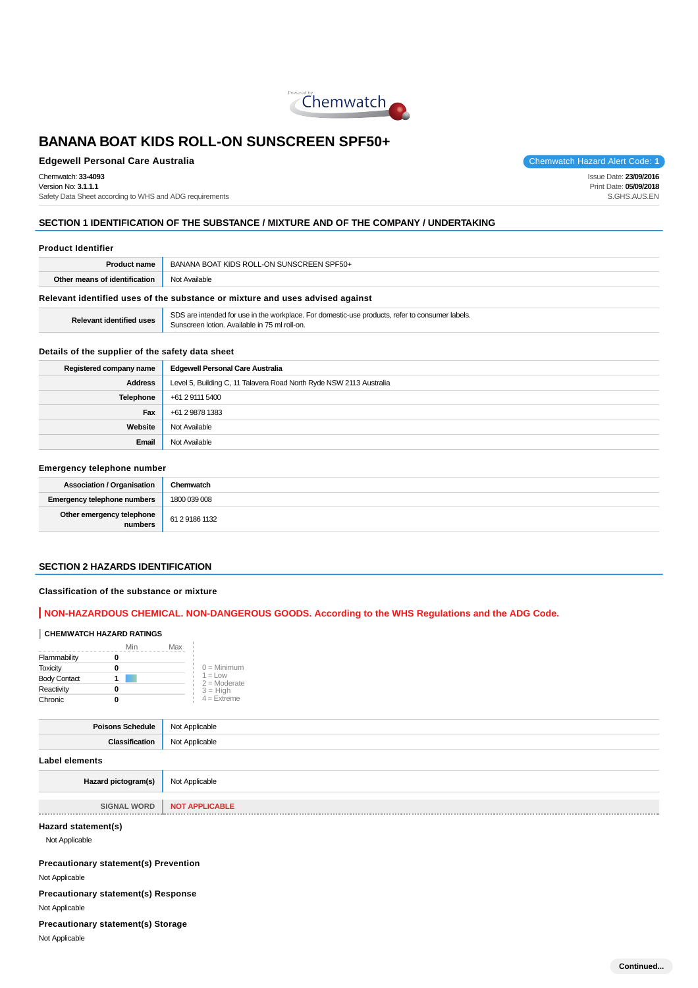

**Edgewell Personal Care Australia** Chemwatch Hazard Alert Code: **1 Chemwatch Hazard Alert Code: 1** 

Chemwatch: **33-4093** Version No: **3.1.1.1** Safety Data Sheet according to WHS and ADG requirements Issue Date: **23/09/2016**

Print Date: **05/09/2018** S.GHS.AUS.EN

# **SECTION 1 IDENTIFICATION OF THE SUBSTANCE / MIXTURE AND OF THE COMPANY / UNDERTAKING**

| <b>Product Identifier</b>                                                     |                                                                                                                                                  |  |
|-------------------------------------------------------------------------------|--------------------------------------------------------------------------------------------------------------------------------------------------|--|
| <b>Product name</b>                                                           | BANANA BOAT KIDS ROLL-ON SUNSCREEN SPF50+                                                                                                        |  |
| Other means of identification                                                 | Not Available                                                                                                                                    |  |
| Relevant identified uses of the substance or mixture and uses advised against |                                                                                                                                                  |  |
| <b>Relevant identified uses</b>                                               | SDS are intended for use in the workplace. For domestic-use products, refer to consumer labels.<br>Sunscreen lotion. Available in 75 ml roll-on. |  |

### **Details of the supplier of the safety data sheet**

| Registered company name | Edgewell Personal Care Australia                                    |
|-------------------------|---------------------------------------------------------------------|
| <b>Address</b>          | Level 5, Building C, 11 Talavera Road North Ryde NSW 2113 Australia |
| Telephone               | +61 2 9111 5400                                                     |
| Fax                     | +61 2 9878 1383                                                     |
| Website                 | Not Available                                                       |
| Email                   | Not Available                                                       |

#### **Emergency telephone number**

| <b>Association / Organisation</b>    | Chemwatch      |
|--------------------------------------|----------------|
| <b>Emergency telephone numbers</b>   | 1800 039 008   |
| Other emergency telephone<br>numbers | 61 2 9186 1132 |

#### **SECTION 2 HAZARDS IDENTIFICATION**

#### **Classification of the substance or mixture**

### **NON-HAZARDOUS CHEMICAL. NON-DANGEROUS GOODS. According to the WHS Regulations and the ADG Code.**

### **CHEMWATCH HAZARD RATINGS**

|                     | Min | Max |                              |
|---------------------|-----|-----|------------------------------|
| Flammability        |     |     |                              |
| <b>Toxicity</b>     |     |     | $0 =$ Minimum                |
| <b>Body Contact</b> |     |     | $1 = 1$ ow<br>$2 =$ Moderate |
| Reactivity          |     |     | $3 = High$                   |
| Chronic             |     |     | $4 =$ Extreme                |

| <b>Poisons Schedule</b> Not Applicable |                |
|----------------------------------------|----------------|
| Classification                         | Not Applicable |
| Label elements                         |                |
| Hazard pictogram(s)                    | Not Applicable |
|                                        |                |

**SIGNAL WORD** | **NOT APPLICABLE Contract Contract Contract** 

### **Hazard statement(s)**

Not Applicable

**Precautionary statement(s) Prevention**

Not Applicable

**Precautionary statement(s) Response** Not Applicable

#### **Precautionary statement(s) Storage**

Not Applicable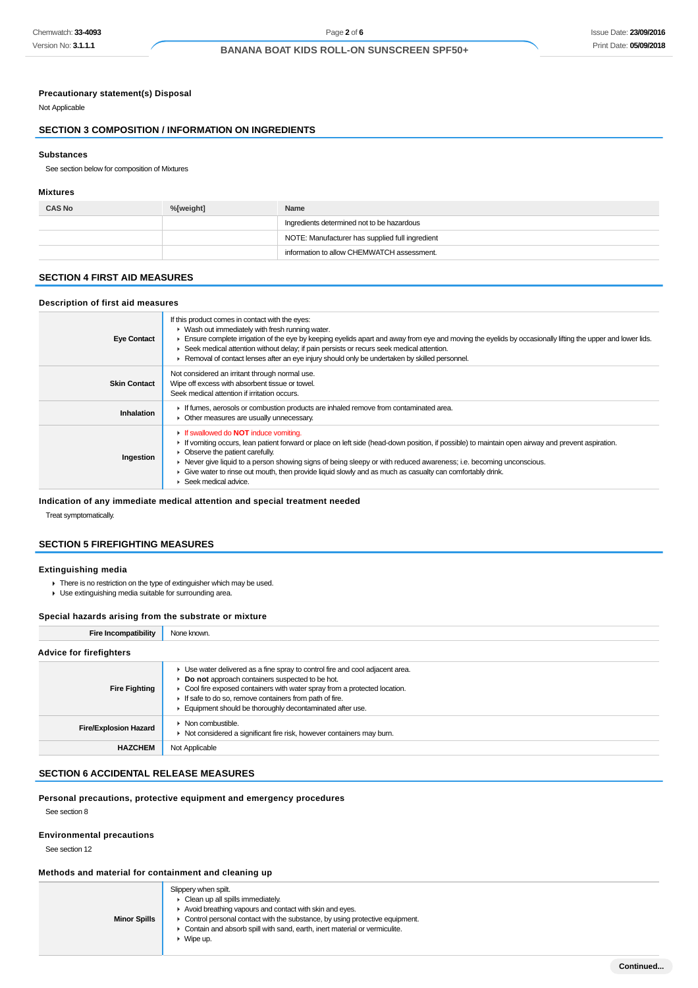### Issue Date: **23/09/2016** Print Date: **05/09/2018**

# **BANANA BOAT KIDS ROLL-ON SUNSCREEN SPF50+**

### **Precautionary statement(s) Disposal**

Not Applicable

### **SECTION 3 COMPOSITION / INFORMATION ON INGREDIENTS**

#### **Substances**

See section below for composition of Mixtures

#### **Mixtures**

| <b>CAS No</b> | %[weight] | Name                                            |
|---------------|-----------|-------------------------------------------------|
|               |           | Ingredients determined not to be hazardous      |
|               |           | NOTE: Manufacturer has supplied full ingredient |
|               |           | information to allow CHEMWATCH assessment.      |

# **SECTION 4 FIRST AID MEASURES**

### **Description of first aid measures**

| <b>Eye Contact</b>  | If this product comes in contact with the eyes:<br>$\triangleright$ Wash out immediately with fresh running water.<br>Ensure complete irrigation of the eye by keeping eyelids apart and away from eye and moving the eyelids by occasionally lifting the upper and lower lids.<br>► Seek medical attention without delay; if pain persists or recurs seek medical attention.<br>Removal of contact lenses after an eye injury should only be undertaken by skilled personnel.                   |
|---------------------|--------------------------------------------------------------------------------------------------------------------------------------------------------------------------------------------------------------------------------------------------------------------------------------------------------------------------------------------------------------------------------------------------------------------------------------------------------------------------------------------------|
| <b>Skin Contact</b> | Not considered an irritant through normal use.<br>Wipe off excess with absorbent tissue or towel.<br>Seek medical attention if irritation occurs.                                                                                                                                                                                                                                                                                                                                                |
| Inhalation          | If fumes, aerosols or combustion products are inhaled remove from contaminated area.<br>• Other measures are usually unnecessary.                                                                                                                                                                                                                                                                                                                                                                |
| Ingestion           | <b>If swallowed do NOT induce vomiting.</b><br>If vomiting occurs, lean patient forward or place on left side (head-down position, if possible) to maintain open airway and prevent aspiration.<br>• Observe the patient carefully.<br>► Never give liquid to a person showing signs of being sleepy or with reduced awareness; i.e. becoming unconscious.<br>• Give water to rinse out mouth, then provide liquid slowly and as much as casualty can comfortably drink.<br>Seek medical advice. |

#### **Indication of any immediate medical attention and special treatment needed**

Treat symptomatically.

# **SECTION 5 FIREFIGHTING MEASURES**

### **Extinguishing media**

▶ There is no restriction on the type of extinguisher which may be used.

Use extinguishing media suitable for surrounding area.

### **Special hazards arising from the substrate or mixture**

| Fire Incompatibility           | None known.                                                                                                                                                                                                                                                                                                                          |
|--------------------------------|--------------------------------------------------------------------------------------------------------------------------------------------------------------------------------------------------------------------------------------------------------------------------------------------------------------------------------------|
| <b>Advice for firefighters</b> |                                                                                                                                                                                                                                                                                                                                      |
| <b>Fire Fighting</b>           | • Use water delivered as a fine spray to control fire and cool adjacent area.<br>Do not approach containers suspected to be hot.<br>• Cool fire exposed containers with water spray from a protected location.<br>If safe to do so, remove containers from path of fire.<br>Equipment should be thoroughly decontaminated after use. |
| <b>Fire/Explosion Hazard</b>   | Non combustible.<br>Not considered a significant fire risk, however containers may burn.                                                                                                                                                                                                                                             |
| <b>HAZCHEM</b>                 | Not Applicable                                                                                                                                                                                                                                                                                                                       |

#### **SECTION 6 ACCIDENTAL RELEASE MEASURES**

#### **Personal precautions, protective equipment and emergency procedures**

See section 8

#### **Environmental precautions**

See section 12

#### **Methods and material for containment and cleaning up**

| <b>Minor Spills</b> | Slippery when spilt.<br>• Clean up all spills immediately.<br>Avoid breathing vapours and contact with skin and eyes.<br>• Control personal contact with the substance, by using protective equipment.<br>• Contain and absorb spill with sand, earth, inert material or vermiculite.<br>$\triangleright$ Wipe up. |
|---------------------|--------------------------------------------------------------------------------------------------------------------------------------------------------------------------------------------------------------------------------------------------------------------------------------------------------------------|
|---------------------|--------------------------------------------------------------------------------------------------------------------------------------------------------------------------------------------------------------------------------------------------------------------------------------------------------------------|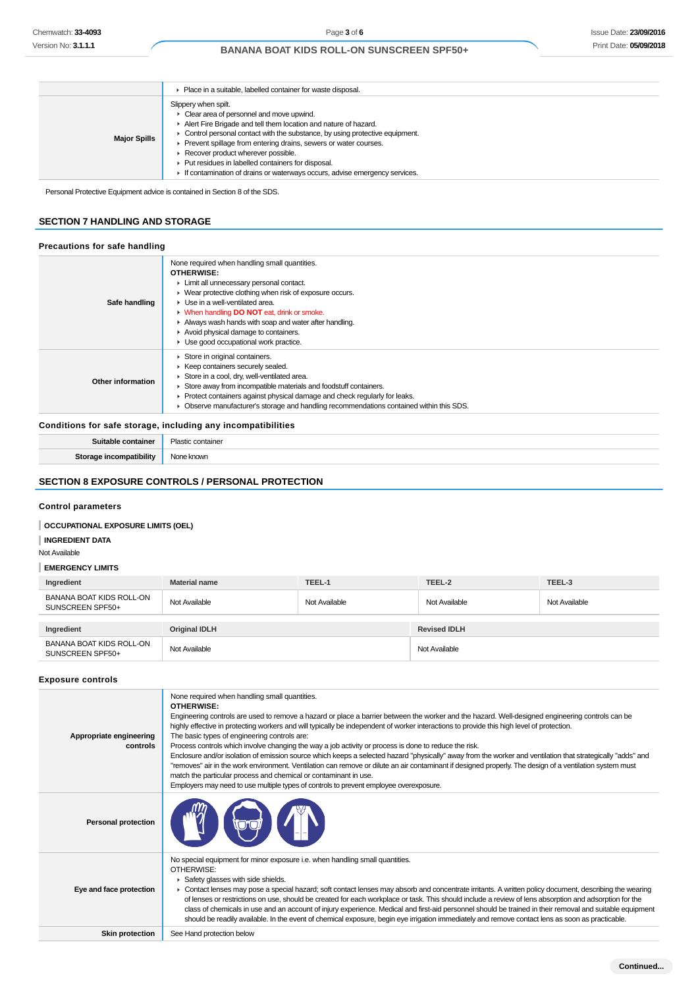|                     | Place in a suitable, labelled container for waste disposal.                                                                                                                                                                                                                                                                                                                                                                                                                       |
|---------------------|-----------------------------------------------------------------------------------------------------------------------------------------------------------------------------------------------------------------------------------------------------------------------------------------------------------------------------------------------------------------------------------------------------------------------------------------------------------------------------------|
| <b>Major Spills</b> | Slippery when spilt.<br>$\triangleright$ Clear area of personnel and move upwind.<br>Alert Fire Brigade and tell them location and nature of hazard.<br>• Control personal contact with the substance, by using protective equipment.<br>Prevent spillage from entering drains, sewers or water courses.<br>Recover product wherever possible.<br>Put residues in labelled containers for disposal.<br>If contamination of drains or waterways occurs, advise emergency services. |

Personal Protective Equipment advice is contained in Section 8 of the SDS.

# **SECTION 7 HANDLING AND STORAGE**

#### **Precautions for safe handling**

| Safe handling            | None required when handling small quantities.<br><b>OTHERWISE:</b><br>Limit all unnecessary personal contact.<br>• Wear protective clothing when risk of exposure occurs.<br>$\blacktriangleright$ Use in a well-ventilated area.<br><b>No. 2015</b> When handling <b>DO NOT</b> eat, drink or smoke.<br>Always wash hands with soap and water after handling.<br>Avoid physical damage to containers.<br>Use good occupational work practice. |
|--------------------------|------------------------------------------------------------------------------------------------------------------------------------------------------------------------------------------------------------------------------------------------------------------------------------------------------------------------------------------------------------------------------------------------------------------------------------------------|
| <b>Other information</b> | Store in original containers.<br>▶ Keep containers securely sealed.<br>Store in a cool, dry, well-ventilated area.<br>Store away from incompatible materials and foodstuff containers.<br>▶ Protect containers against physical damage and check regularly for leaks.<br>• Observe manufacturer's storage and handling recommendations contained within this SDS.                                                                              |

### **Conditions for safe storage, including any incompatibilities**

| Suitable container      | Plastic container |
|-------------------------|-------------------|
| Storage incompatibility | None known        |

# **SECTION 8 EXPOSURE CONTROLS / PERSONAL PROTECTION**

### **Control parameters**

#### **OCCUPATIONAL EXPOSURE LIMITS (OEL)**

**INGREDIENT DATA**

Not Available

### **EMERGENCY LIMITS**

| Ingredient                                   | <b>Material name</b> | TEEL-1        | TEEL-2              | TEEL-3        |
|----------------------------------------------|----------------------|---------------|---------------------|---------------|
| BANANA BOAT KIDS ROLL-ON<br>SUNSCREEN SPF50+ | Not Available        | Not Available | Not Available       | Not Available |
|                                              |                      |               |                     |               |
| Ingredient                                   | <b>Original IDLH</b> |               | <b>Revised IDLH</b> |               |
| BANANA BOAT KIDS ROLL-ON<br>SUNSCREEN SPF50+ | Not Available        |               | Not Available       |               |

### **Exposure controls**

| Appropriate engineering<br>controls | None required when handling small quantities.<br><b>OTHERWISE:</b><br>Engineering controls are used to remove a hazard or place a barrier between the worker and the hazard. Well-designed engineering controls can be<br>highly effective in protecting workers and will typically be independent of worker interactions to provide this high level of protection.<br>The basic types of engineering controls are:<br>Process controls which involve changing the way a job activity or process is done to reduce the risk.<br>Enclosure and/or isolation of emission source which keeps a selected hazard "physically" away from the worker and ventilation that strategically "adds" and<br>"removes" air in the work environment. Ventilation can remove or dilute an air contaminant if designed properly. The design of a ventilation system must<br>match the particular process and chemical or contaminant in use.<br>Employers may need to use multiple types of controls to prevent employee overexposure. |
|-------------------------------------|-----------------------------------------------------------------------------------------------------------------------------------------------------------------------------------------------------------------------------------------------------------------------------------------------------------------------------------------------------------------------------------------------------------------------------------------------------------------------------------------------------------------------------------------------------------------------------------------------------------------------------------------------------------------------------------------------------------------------------------------------------------------------------------------------------------------------------------------------------------------------------------------------------------------------------------------------------------------------------------------------------------------------|
| <b>Personal protection</b>          |                                                                                                                                                                                                                                                                                                                                                                                                                                                                                                                                                                                                                                                                                                                                                                                                                                                                                                                                                                                                                       |
| Eye and face protection             | No special equipment for minor exposure i.e. when handling small quantities.<br>OTHERWISE:<br>Safety glasses with side shields.<br>• Contact lenses may pose a special hazard; soft contact lenses may absorb and concentrate irritants. A written policy document, describing the wearing<br>of lenses or restrictions on use, should be created for each workplace or task. This should include a review of lens absorption and adsorption for the<br>class of chemicals in use and an account of injury experience. Medical and first-aid personnel should be trained in their removal and suitable equipment<br>should be readily available. In the event of chemical exposure, begin eye irrigation immediately and remove contact lens as soon as practicable.                                                                                                                                                                                                                                                  |
| <b>Skin protection</b>              | See Hand protection below                                                                                                                                                                                                                                                                                                                                                                                                                                                                                                                                                                                                                                                                                                                                                                                                                                                                                                                                                                                             |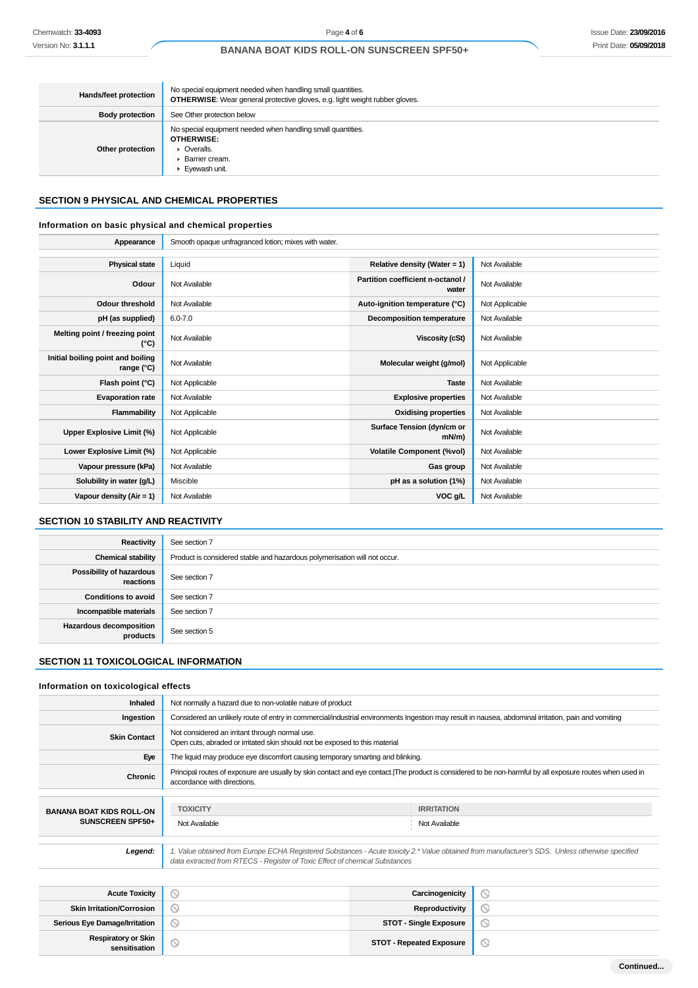| Hands/feet protection  | No special equipment needed when handling small quantities.<br><b>OTHERWISE:</b> Wear general protective gloves, e.g. light weight rubber gloves. |
|------------------------|---------------------------------------------------------------------------------------------------------------------------------------------------|
| <b>Body protection</b> | See Other protection below                                                                                                                        |
| Other protection       | No special equipment needed when handling small quantities.<br><b>OTHERWISE:</b><br>• Overalls.<br>Barrier cream.<br>Eyewash unit.                |

# **SECTION 9 PHYSICAL AND CHEMICAL PROPERTIES**

# **Information on basic physical and chemical properties**

| Appearance                                      | Smooth opaque unfragranced lotion; mixes with water. |                                            |                |
|-------------------------------------------------|------------------------------------------------------|--------------------------------------------|----------------|
|                                                 |                                                      |                                            |                |
| <b>Physical state</b>                           | Liquid                                               | Relative density (Water = $1$ )            | Not Available  |
| Odour                                           | Not Available                                        | Partition coefficient n-octanol /<br>water | Not Available  |
| <b>Odour threshold</b>                          | Not Available                                        | Auto-ignition temperature (°C)             | Not Applicable |
| pH (as supplied)                                | $6.0 - 7.0$                                          | Decomposition temperature                  | Not Available  |
| Melting point / freezing point<br>(°C)          | Not Available                                        | Viscosity (cSt)                            | Not Available  |
| Initial boiling point and boiling<br>range (°C) | Not Available                                        | Molecular weight (g/mol)                   | Not Applicable |
| Flash point (°C)                                | Not Applicable                                       | <b>Taste</b>                               | Not Available  |
| <b>Evaporation rate</b>                         | Not Available                                        | <b>Explosive properties</b>                | Not Available  |
| <b>Flammability</b>                             | Not Applicable                                       | <b>Oxidising properties</b>                | Not Available  |
| Upper Explosive Limit (%)                       | Not Applicable                                       | Surface Tension (dyn/cm or<br>$mN/m$ )     | Not Available  |
| Lower Explosive Limit (%)                       | Not Applicable                                       | <b>Volatile Component (%vol)</b>           | Not Available  |
| Vapour pressure (kPa)                           | Not Available                                        | Gas group                                  | Not Available  |
| Solubility in water (g/L)                       | Miscible                                             | pH as a solution (1%)                      | Not Available  |
| Vapour density ( $Air = 1$ )                    | Not Available                                        | VOC g/L                                    | Not Available  |

# **SECTION 10 STABILITY AND REACTIVITY**

| Reactivity                                 | See section 7                                                             |
|--------------------------------------------|---------------------------------------------------------------------------|
| <b>Chemical stability</b>                  | Product is considered stable and hazardous polymerisation will not occur. |
| Possibility of hazardous<br>reactions      | See section 7                                                             |
| <b>Conditions to avoid</b>                 | See section 7                                                             |
| Incompatible materials                     | See section 7                                                             |
| <b>Hazardous decomposition</b><br>products | See section 5                                                             |

### **SECTION 11 TOXICOLOGICAL INFORMATION**

### **Information on toxicological effects**

| Inhaled                         | Not normally a hazard due to non-volatile nature of product                                                                                                                                                                     |                                                                                                                                                     |  |
|---------------------------------|---------------------------------------------------------------------------------------------------------------------------------------------------------------------------------------------------------------------------------|-----------------------------------------------------------------------------------------------------------------------------------------------------|--|
| Ingestion                       |                                                                                                                                                                                                                                 | Considered an unlikely route of entry in commercial/industrial environments Ingestion may result in nausea, abdominal irritation, pain and vomiting |  |
| <b>Skin Contact</b>             | Not considered an irritant through normal use.<br>Open cuts, abraded or irritated skin should not be exposed to this material                                                                                                   |                                                                                                                                                     |  |
| Eye                             | The liquid may produce eye discomfort causing temporary smarting and blinking.                                                                                                                                                  |                                                                                                                                                     |  |
| Chronic                         | Principal routes of exposure are usually by skin contact and eye contact. The product is considered to be non-harmful by all exposure routes when used in<br>accordance with directions.                                        |                                                                                                                                                     |  |
| <b>BANANA BOAT KIDS ROLL-ON</b> | <b>TOXICITY</b>                                                                                                                                                                                                                 | <b>IRRITATION</b>                                                                                                                                   |  |
| <b>SUNSCREEN SPF50+</b>         | Not Available                                                                                                                                                                                                                   | Not Available                                                                                                                                       |  |
| Legend:                         | 1. Value obtained from Europe ECHA Registered Substances - Acute toxicity 2.* Value obtained from manufacturer's SDS. Unless otherwise specified<br>data extracted from RTECS - Register of Toxic Effect of chemical Substances |                                                                                                                                                     |  |

| <b>Acute Toxicity</b>                       | Y | Carcinogenicity                 |   |
|---------------------------------------------|---|---------------------------------|---|
| <b>Skin Irritation/Corrosion</b>            | Y | Reproductivity                  |   |
| <b>Serious Eye Damage/Irritation</b>        | ◡ | <b>STOT - Single Exposure</b>   |   |
| <b>Respiratory or Skin</b><br>sensitisation |   | <b>STOT - Repeated Exposure</b> | ◡ |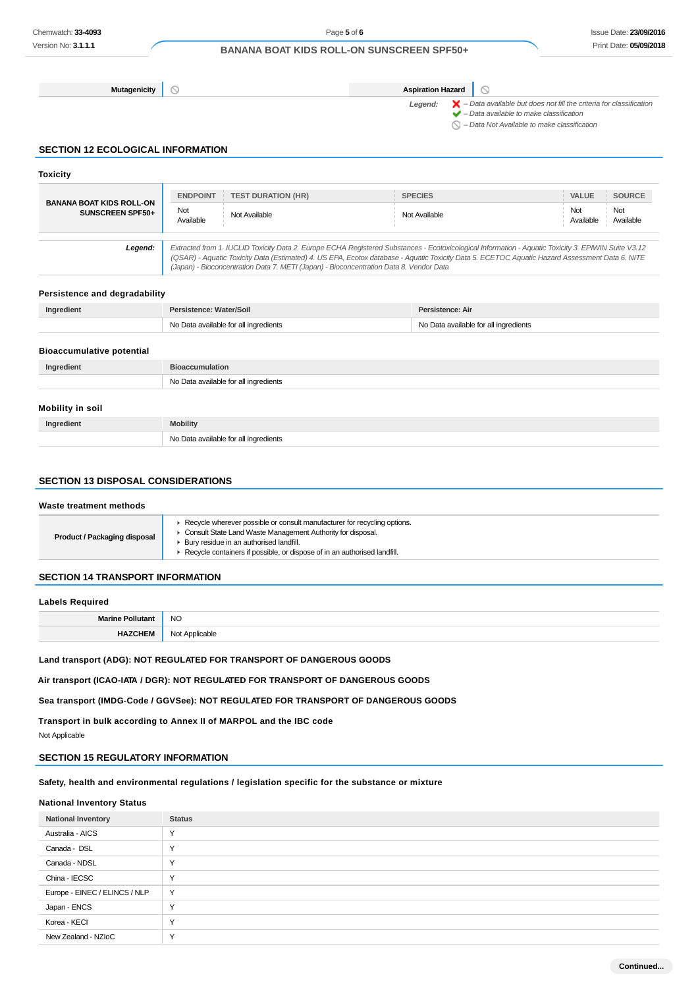**Mutagenicity Aspiration Hazard**

Legend:  $\mathsf{X}$  – Data available but does not fill the criteria for classification

 $\overline{\phantom{0}}$ 

 $\blacktriangleright$  – Data available to make classification

 $\bigcirc$  – Data Not Available to make classification

# **SECTION 12 ECOLOGICAL INFORMATION**

| <b>Toxicity</b>                                                                                                                                                                                                                                                                                                                                                                                            |                                     |                                            |                                 |                                                                       |
|------------------------------------------------------------------------------------------------------------------------------------------------------------------------------------------------------------------------------------------------------------------------------------------------------------------------------------------------------------------------------------------------------------|-------------------------------------|--------------------------------------------|---------------------------------|-----------------------------------------------------------------------|
| <b>BANANA BOAT KIDS ROLL-ON</b><br><b>SUNSCREEN SPF50+</b>                                                                                                                                                                                                                                                                                                                                                 | <b>ENDPOINT</b><br>Not<br>Available | <b>TEST DURATION (HR)</b><br>Not Available | <b>SPECIES</b><br>Not Available | <b>VALUE</b><br><b>SOURCE</b><br>Not<br>Not<br>Available<br>Available |
| Extracted from 1. IUCLID Toxicity Data 2. Europe ECHA Registered Substances - Ecotoxicological Information - Aquatic Toxicity 3. EPIWIN Suite V3.12<br>Legend:<br>(QSAR) - Aquatic Toxicity Data (Estimated) 4. US EPA, Ecotox database - Aquatic Toxicity Data 5. ECETOC Aquatic Hazard Assessment Data 6. NITE<br>(Japan) - Bioconcentration Data 7. METI (Japan) - Bioconcentration Data 8. Vendor Data |                                     |                                            |                                 |                                                                       |

#### **Persistence and degradability**

| Ingredient                       | Persistence: Water/Soil               | Persistence: Air                      |
|----------------------------------|---------------------------------------|---------------------------------------|
|                                  | No Data available for all ingredients | No Data available for all ingredients |
|                                  |                                       |                                       |
| <b>Bioaccumulative potential</b> |                                       |                                       |
| Ingredient                       | <b>Bioaccumulation</b>                |                                       |
|                                  | No Data available for all ingredients |                                       |
|                                  |                                       |                                       |
| Mobility in soil                 |                                       |                                       |
| Ingredient                       | <b>Mobility</b>                       |                                       |
|                                  | No Data available for all ingredients |                                       |

### **SECTION 13 DISPOSAL CONSIDERATIONS**

#### **Waste treatment methods**

| Product / Packaging disposal | Recycle wherever possible or consult manufacturer for recycling options.<br>Consult State Land Waste Management Authority for disposal.<br>Bury residue in an authorised landfill.<br>Recycle containers if possible, or dispose of in an authorised landfill. |
|------------------------------|----------------------------------------------------------------------------------------------------------------------------------------------------------------------------------------------------------------------------------------------------------------|
|                              |                                                                                                                                                                                                                                                                |

# **SECTION 14 TRANSPORT INFORMATION**

#### **Labels Required**

|            | <b>NC</b><br>$\sim$ |
|------------|---------------------|
| __________ |                     |

**Land transport (ADG): NOT REGULATED FOR TRANSPORT OF DANGEROUS GOODS**

**Air transport (ICAO-IATA / DGR): NOT REGULATED FOR TRANSPORT OF DANGEROUS GOODS**

**Sea transport (IMDG-Code / GGVSee): NOT REGULATED FOR TRANSPORT OF DANGEROUS GOODS**

**Transport in bulk according to Annex II of MARPOL and the IBC code**

Not Applicable

### **SECTION 15 REGULATORY INFORMATION**

### **Safety, health and environmental regulations / legislation specific for the substance or mixture**

### **National Inventory Status**

| <b>National Inventory</b>     | <b>Status</b> |
|-------------------------------|---------------|
| Australia - AICS              | $\checkmark$  |
| Canada - DSL                  | $\checkmark$  |
| Canada - NDSL                 | $\checkmark$  |
| China - IECSC                 | $\checkmark$  |
| Europe - EINEC / ELINCS / NLP | Y             |
| Japan - ENCS                  | $\checkmark$  |
| Korea - KECI                  | $\checkmark$  |
| New Zealand - NZIoC           | $\lambda$     |